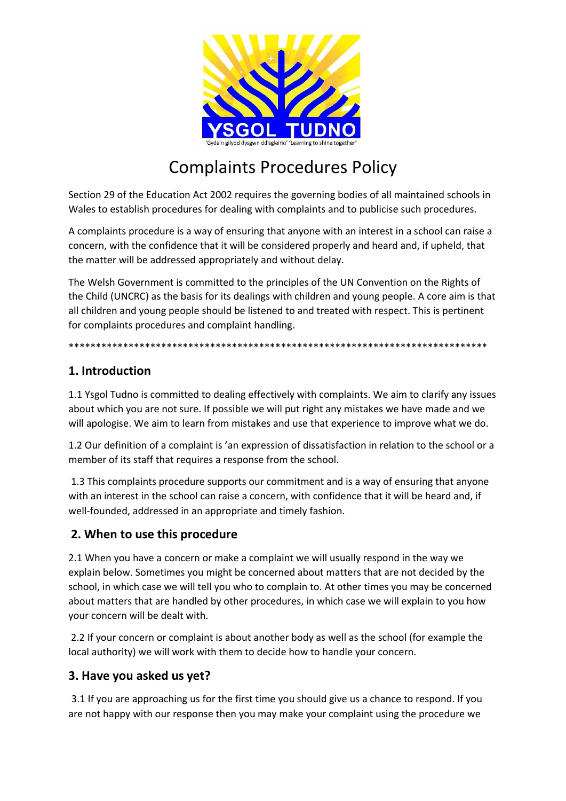

# Complaints Procedures Policy

Section 29 of the Education Act 2002 requires the governing bodies of all maintained schools in Wales to establish procedures for dealing with complaints and to publicise such procedures.

A complaints procedure is a way of ensuring that anyone with an interest in a school can raise a concern, with the confidence that it will be considered properly and heard and, if upheld, that the matter will be addressed appropriately and without delay.

The Welsh Government is committed to the principles of the UN Convention on the Rights of the Child (UNCRC) as the basis for its dealings with children and young people. A core aim is that all children and young people should be listened to and treated with respect. This is pertinent for complaints procedures and complaint handling.

\*\*\*\*\*\*\*\*\*\*\*\*\*\*\*\*\*\*\*\*\*\*\*\*\*\*\*\*\*\*\*\*\*\*\*\*\*\*\*\*\*\*\*\*\*\*\*\*\*\*\*\*\*\*\*\*\*\*\*\*\*\*\*\*\*\*\*\*\*\*\*\*\*\*\*\*\*

## **1. Introduction**

1.1 Ysgol Tudno is committed to dealing effectively with complaints. We aim to clarify any issues about which you are not sure. If possible we will put right any mistakes we have made and we will apologise. We aim to learn from mistakes and use that experience to improve what we do.

1.2 Our definition of a complaint is 'an expression of dissatisfaction in relation to the school or a member of its staff that requires a response from the school.

1.3 This complaints procedure supports our commitment and is a way of ensuring that anyone with an interest in the school can raise a concern, with confidence that it will be heard and, if well-founded, addressed in an appropriate and timely fashion.

## **2. When to use this procedure**

2.1 When you have a concern or make a complaint we will usually respond in the way we explain below. Sometimes you might be concerned about matters that are not decided by the school, in which case we will tell you who to complain to. At other times you may be concerned about matters that are handled by other procedures, in which case we will explain to you how your concern will be dealt with.

2.2 If your concern or complaint is about another body as well as the school (for example the local authority) we will work with them to decide how to handle your concern.

## **3. Have you asked us yet?**

3.1 If you are approaching us for the first time you should give us a chance to respond. If you are not happy with our response then you may make your complaint using the procedure we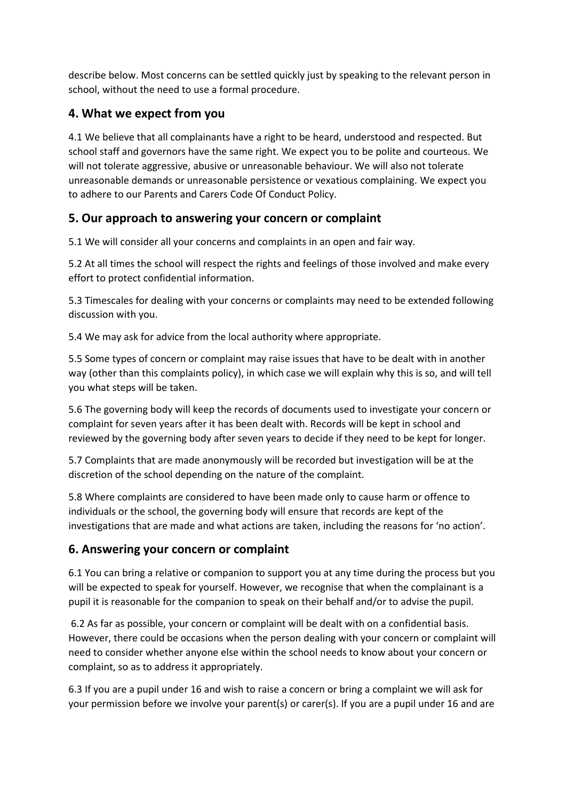describe below. Most concerns can be settled quickly just by speaking to the relevant person in school, without the need to use a formal procedure.

## **4. What we expect from you**

4.1 We believe that all complainants have a right to be heard, understood and respected. But school staff and governors have the same right. We expect you to be polite and courteous. We will not tolerate aggressive, abusive or unreasonable behaviour. We will also not tolerate unreasonable demands or unreasonable persistence or vexatious complaining. We expect you to adhere to our Parents and Carers Code Of Conduct Policy.

## **5. Our approach to answering your concern or complaint**

5.1 We will consider all your concerns and complaints in an open and fair way.

5.2 At all times the school will respect the rights and feelings of those involved and make every effort to protect confidential information.

5.3 Timescales for dealing with your concerns or complaints may need to be extended following discussion with you.

5.4 We may ask for advice from the local authority where appropriate.

5.5 Some types of concern or complaint may raise issues that have to be dealt with in another way (other than this complaints policy), in which case we will explain why this is so, and will tell you what steps will be taken.

5.6 The governing body will keep the records of documents used to investigate your concern or complaint for seven years after it has been dealt with. Records will be kept in school and reviewed by the governing body after seven years to decide if they need to be kept for longer.

5.7 Complaints that are made anonymously will be recorded but investigation will be at the discretion of the school depending on the nature of the complaint.

5.8 Where complaints are considered to have been made only to cause harm or offence to individuals or the school, the governing body will ensure that records are kept of the investigations that are made and what actions are taken, including the reasons for 'no action'.

## **6. Answering your concern or complaint**

6.1 You can bring a relative or companion to support you at any time during the process but you will be expected to speak for yourself. However, we recognise that when the complainant is a pupil it is reasonable for the companion to speak on their behalf and/or to advise the pupil.

6.2 As far as possible, your concern or complaint will be dealt with on a confidential basis. However, there could be occasions when the person dealing with your concern or complaint will need to consider whether anyone else within the school needs to know about your concern or complaint, so as to address it appropriately.

6.3 If you are a pupil under 16 and wish to raise a concern or bring a complaint we will ask for your permission before we involve your parent(s) or carer(s). If you are a pupil under 16 and are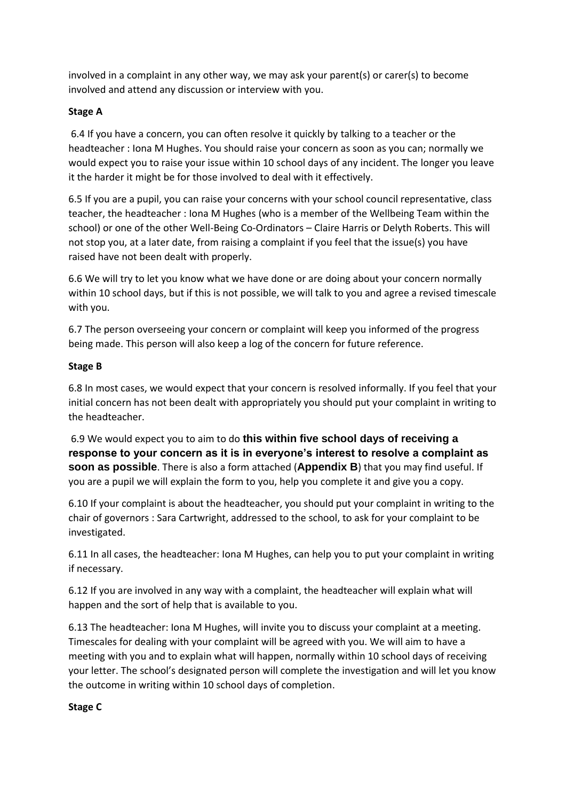involved in a complaint in any other way, we may ask your parent(s) or carer(s) to become involved and attend any discussion or interview with you.

#### **Stage A**

6.4 If you have a concern, you can often resolve it quickly by talking to a teacher or the headteacher : Iona M Hughes. You should raise your concern as soon as you can; normally we would expect you to raise your issue within 10 school days of any incident. The longer you leave it the harder it might be for those involved to deal with it effectively.

6.5 If you are a pupil, you can raise your concerns with your school council representative, class teacher, the headteacher : Iona M Hughes (who is a member of the Wellbeing Team within the school) or one of the other Well-Being Co-Ordinators – Claire Harris or Delyth Roberts. This will not stop you, at a later date, from raising a complaint if you feel that the issue(s) you have raised have not been dealt with properly.

6.6 We will try to let you know what we have done or are doing about your concern normally within 10 school days, but if this is not possible, we will talk to you and agree a revised timescale with you.

6.7 The person overseeing your concern or complaint will keep you informed of the progress being made. This person will also keep a log of the concern for future reference.

#### **Stage B**

6.8 In most cases, we would expect that your concern is resolved informally. If you feel that your initial concern has not been dealt with appropriately you should put your complaint in writing to the headteacher.

6.9 We would expect you to aim to do **this within five school days of receiving a response to your concern as it is in everyone's interest to resolve a complaint as soon as possible**. There is also a form attached (**Appendix B**) that you may find useful. If you are a pupil we will explain the form to you, help you complete it and give you a copy.

6.10 If your complaint is about the headteacher, you should put your complaint in writing to the chair of governors : Sara Cartwright, addressed to the school, to ask for your complaint to be investigated.

6.11 In all cases, the headteacher: Iona M Hughes, can help you to put your complaint in writing if necessary.

6.12 If you are involved in any way with a complaint, the headteacher will explain what will happen and the sort of help that is available to you.

6.13 The headteacher: Iona M Hughes, will invite you to discuss your complaint at a meeting. Timescales for dealing with your complaint will be agreed with you. We will aim to have a meeting with you and to explain what will happen, normally within 10 school days of receiving your letter. The school's designated person will complete the investigation and will let you know the outcome in writing within 10 school days of completion.

#### **Stage C**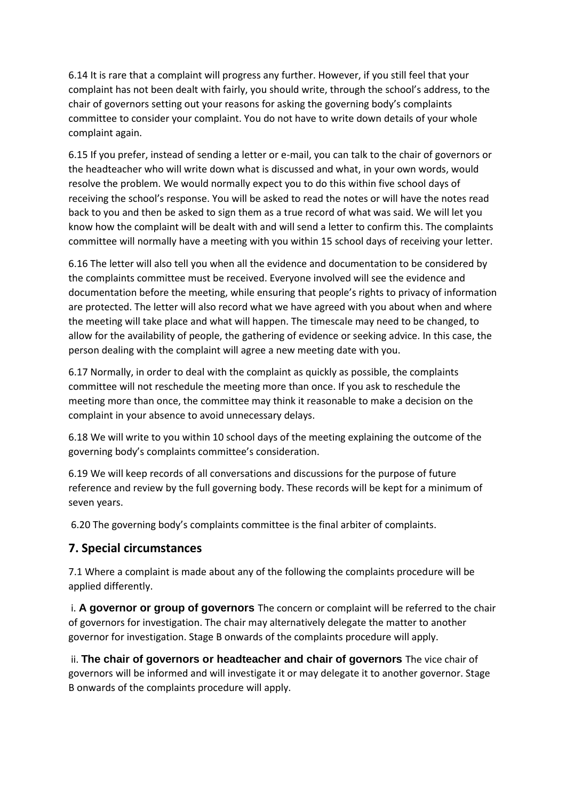6.14 It is rare that a complaint will progress any further. However, if you still feel that your complaint has not been dealt with fairly, you should write, through the school's address, to the chair of governors setting out your reasons for asking the governing body's complaints committee to consider your complaint. You do not have to write down details of your whole complaint again.

6.15 If you prefer, instead of sending a letter or e-mail, you can talk to the chair of governors or the headteacher who will write down what is discussed and what, in your own words, would resolve the problem. We would normally expect you to do this within five school days of receiving the school's response. You will be asked to read the notes or will have the notes read back to you and then be asked to sign them as a true record of what was said. We will let you know how the complaint will be dealt with and will send a letter to confirm this. The complaints committee will normally have a meeting with you within 15 school days of receiving your letter.

6.16 The letter will also tell you when all the evidence and documentation to be considered by the complaints committee must be received. Everyone involved will see the evidence and documentation before the meeting, while ensuring that people's rights to privacy of information are protected. The letter will also record what we have agreed with you about when and where the meeting will take place and what will happen. The timescale may need to be changed, to allow for the availability of people, the gathering of evidence or seeking advice. In this case, the person dealing with the complaint will agree a new meeting date with you.

6.17 Normally, in order to deal with the complaint as quickly as possible, the complaints committee will not reschedule the meeting more than once. If you ask to reschedule the meeting more than once, the committee may think it reasonable to make a decision on the complaint in your absence to avoid unnecessary delays.

6.18 We will write to you within 10 school days of the meeting explaining the outcome of the governing body's complaints committee's consideration.

6.19 We will keep records of all conversations and discussions for the purpose of future reference and review by the full governing body. These records will be kept for a minimum of seven years.

6.20 The governing body's complaints committee is the final arbiter of complaints.

## **7. Special circumstances**

7.1 Where a complaint is made about any of the following the complaints procedure will be applied differently.

i. **A governor or group of governors** The concern or complaint will be referred to the chair of governors for investigation. The chair may alternatively delegate the matter to another governor for investigation. Stage B onwards of the complaints procedure will apply.

ii. **The chair of governors or headteacher and chair of governors** The vice chair of governors will be informed and will investigate it or may delegate it to another governor. Stage B onwards of the complaints procedure will apply.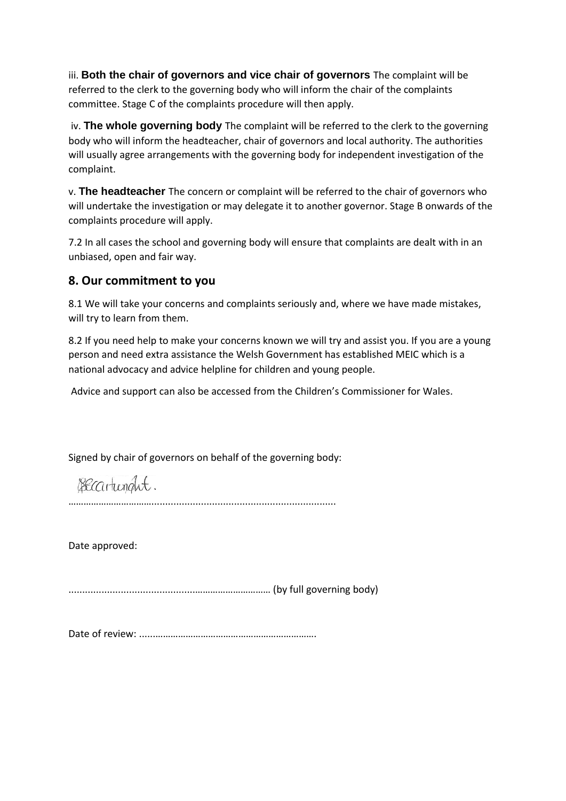iii. **Both the chair of governors and vice chair of governors** The complaint will be referred to the clerk to the governing body who will inform the chair of the complaints committee. Stage C of the complaints procedure will then apply.

iv. **The whole governing body** The complaint will be referred to the clerk to the governing body who will inform the headteacher, chair of governors and local authority. The authorities will usually agree arrangements with the governing body for independent investigation of the complaint.

v. **The headteacher** The concern or complaint will be referred to the chair of governors who will undertake the investigation or may delegate it to another governor. Stage B onwards of the complaints procedure will apply.

7.2 In all cases the school and governing body will ensure that complaints are dealt with in an unbiased, open and fair way.

## **8. Our commitment to you**

8.1 We will take your concerns and complaints seriously and, where we have made mistakes, will try to learn from them.

8.2 If you need help to make your concerns known we will try and assist you. If you are a young person and need extra assistance the Welsh Government has established MEIC which is a national advocacy and advice helpline for children and young people.

Advice and support can also be accessed from the Children's Commissioner for Wales.

Signed by chair of governors on behalf of the governing body:

Becartunght.

……………………………...................................................................

Date approved:

..............................................………………………… (by full governing body)

Date of review: ......……………………………………………………….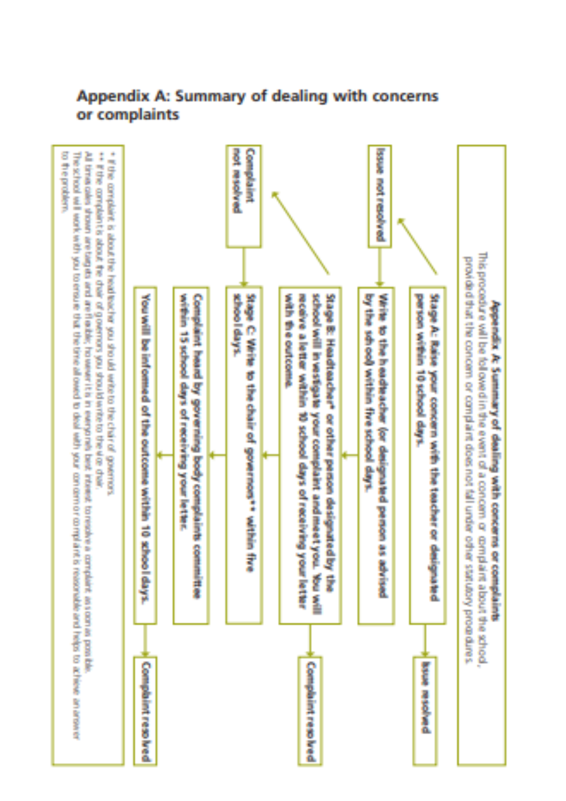

## Appendix A: Summary of dealing with concerns or complaints